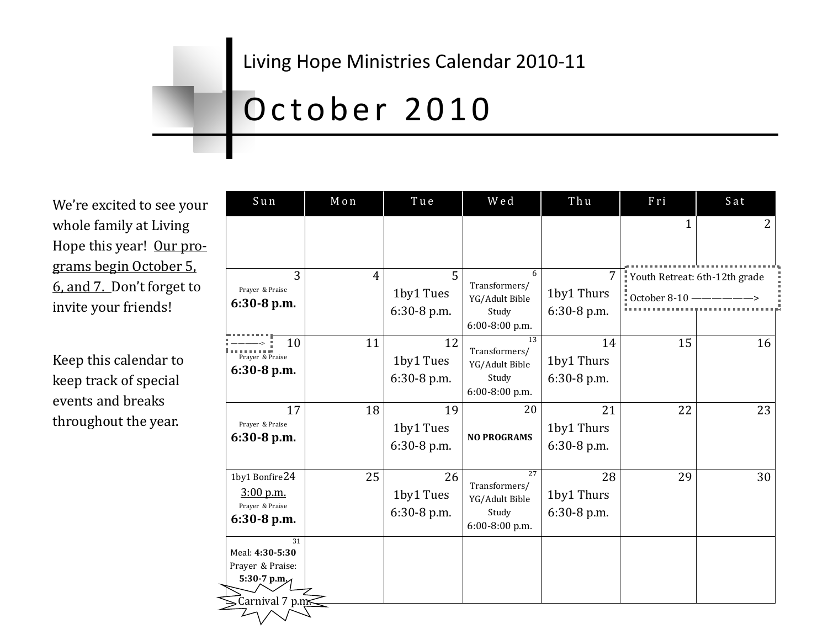#### Living Hope Ministries Calendar 2010-11

# October 2010

We're excited to see your whole family at Living Hope this year! Our programs begin October 5, 6, and 7. Don't forget to invite your friends!

Keep this calendar to keep track of special events and breaks throughout the year.

| Sun                                                                                     | Mon            | Tue                            | Wed                                                              | Thu                               | Fri                                                                | Sat |
|-----------------------------------------------------------------------------------------|----------------|--------------------------------|------------------------------------------------------------------|-----------------------------------|--------------------------------------------------------------------|-----|
|                                                                                         |                |                                |                                                                  |                                   | $\mathbf{1}$                                                       | 2   |
| 3<br>Prayer & Praise<br>6:30-8 p.m.                                                     | $\overline{4}$ | 5<br>1by1 Tues<br>6:30-8 p.m.  | 6<br>Transformers/<br>YG/Adult Bible<br>Study<br>6:00-8:00 p.m.  | 7<br>1by1 Thurs<br>6:30-8 p.m.    | Youth Retreat: 6th-12th grade<br>$\frac{1}{2}$ October 8-10 ------ |     |
| 10<br>Prayer & Praise<br>$6:30-8$ p.m.                                                  | 11             | 12<br>1by1 Tues<br>6:30-8 p.m. | 13<br>Transformers/<br>YG/Adult Bible<br>Study<br>6:00-8:00 p.m. | 14<br>1by1 Thurs<br>6:30-8 p.m.   | 15                                                                 | 16  |
| 17<br>Prayer & Praise<br>6:30-8 p.m.                                                    | 18             | 19<br>1by1 Tues<br>6:30-8 p.m. | 20<br><b>NO PROGRAMS</b>                                         | 21<br>1by1 Thurs<br>6:30-8 p.m.   | 22                                                                 | 23  |
| 1by1 Bonfire24<br>$3:00$ p.m.<br>Prayer & Praise<br>$6:30-8$ p.m.                       | 25             | 26<br>1by1 Tues<br>6:30-8 p.m. | 27<br>Transformers/<br>YG/Adult Bible<br>Study<br>6:00-8:00 p.m. | 28<br>1by1 Thurs<br>$6:30-8$ p.m. | 29                                                                 | 30  |
| $\overline{31}$<br>Meal: 4:30-5:30<br>Prayer & Praise:<br>5:30-7 p.m<br>Carnival 7 p.m. |                |                                |                                                                  |                                   |                                                                    |     |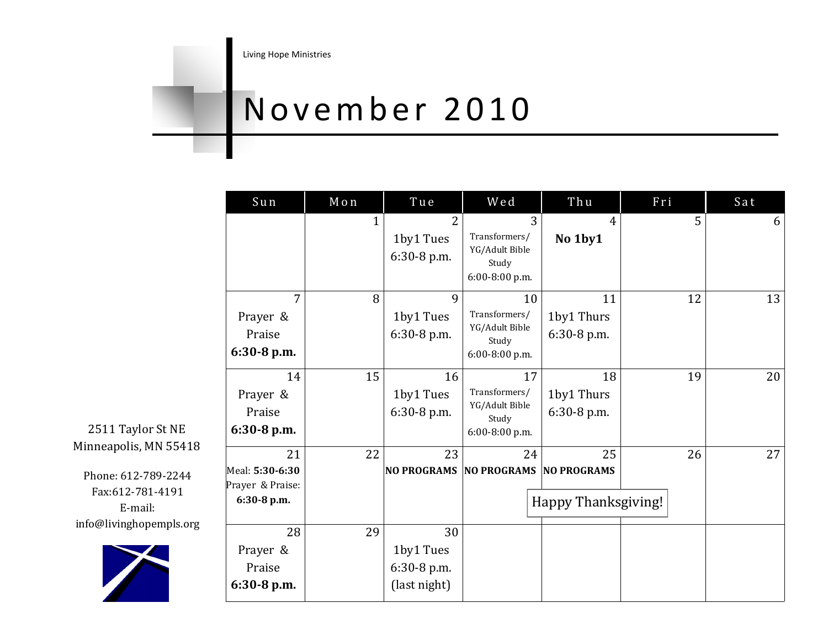### November 2010

| Sun                                                      | Mon | Tue                                            | Wed                                                              | Thu                                      | Fri | Sat |
|----------------------------------------------------------|-----|------------------------------------------------|------------------------------------------------------------------|------------------------------------------|-----|-----|
|                                                          | 1   | 2<br>1by1 Tues<br>6:30-8 p.m.                  | 3<br>Transformers/<br>YG/Adult Bible<br>Study<br>6:00-8:00 p.m.  | $\overline{4}$<br>No 1by1                | 5   | 6   |
| 7<br>Prayer &<br>Praise<br>6:30-8 p.m.                   | 8   | 9<br>1by1 Tues<br>6:30-8 p.m.                  | 10<br>Transformers/<br>YG/Adult Bible<br>Study<br>6:00-8:00 p.m. | 11<br>1by1 Thurs<br>6:30-8 p.m.          | 12  | 13  |
| 14<br>Prayer &<br>Praise<br>6:30-8 p.m.                  | 15  | 16<br>1by1 Tues<br>$6:30-8$ p.m.               | 17<br>Transformers/<br>YG/Adult Bible<br>Study<br>6:00-8:00 p.m. | 18<br>1by1 Thurs<br>6:30-8 p.m.          | 19  | 20  |
| 21<br>Meal: 5:30-6:30<br>Prayer & Praise:<br>6:30-8 p.m. | 22  | 23                                             | 24<br><b>NO PROGRAMS NO PROGRAMS</b>                             | 25<br>NO PROGRAMS<br>Happy Thanksgiving! | 26  | 27  |
| 28<br>Prayer &<br>Praise<br>6:30-8 p.m.                  | 29  | 30<br>1by1 Tues<br>6:30-8 p.m.<br>(last night) |                                                                  |                                          |     |     |

2511 Taylor St NE Minneapolis, MN 55418

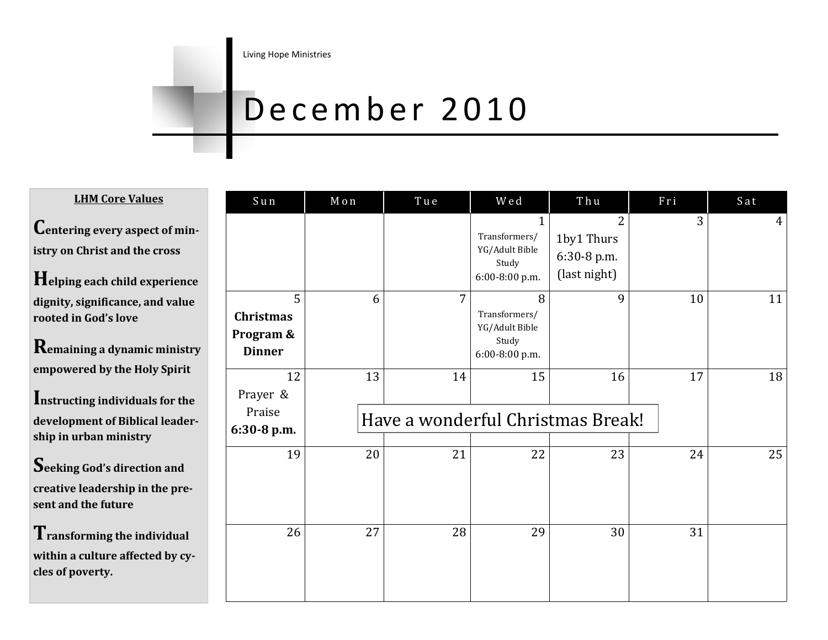#### December 2010

**LHM Core Values**

**Centering every aspect of ministry on Christ and the cross**

**Helping each child experience dignity, significance, and value rooted in God's love**

**Remaining a dynamic ministry empowered by the Holy Spirit**

**Instructing individuals for the development of Biblical leadership in urban ministry**

**Seeking God's direction and creative leadership in the present and the future**

**Transforming the individual within a culture affected by cycles of poverty.**

| Sun                                          | Mon | Tue                                     | Wed                                                                        | Thu                                                         | Fri | Sat            |
|----------------------------------------------|-----|-----------------------------------------|----------------------------------------------------------------------------|-------------------------------------------------------------|-----|----------------|
|                                              |     |                                         | $\mathbf{1}$<br>Transformers/<br>YG/Adult Bible<br>Study<br>6:00-8:00 p.m. | $\overline{2}$<br>1by1 Thurs<br>6:30-8 p.m.<br>(last night) | 3   | $\overline{4}$ |
| 5<br>Christmas<br>Program &<br><b>Dinner</b> | 6   | $\overline{7}$                          | 8<br>Transformers/<br>YG/Adult Bible<br>Study<br>6:00-8:00 p.m.            | 9                                                           | 10  | 11             |
| 12<br>Prayer &<br>Praise<br>6:30-8 p.m.      | 13  | 14<br>Have a wonderful Christmas Break! | 15                                                                         | 16                                                          | 17  | 18             |
| 19                                           | 20  | 21                                      | 22                                                                         | 23                                                          | 24  | 25             |
| 26                                           | 27  | 28                                      | 29                                                                         | 30                                                          | 31  |                |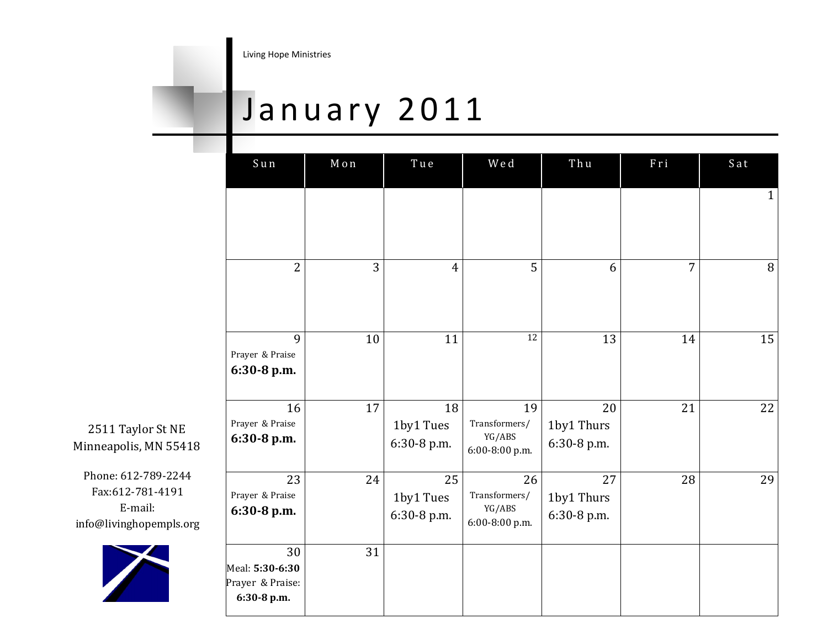#### January 2011

| Sun                                                      | Mon | Tue                            | Wed                                             | Thu                             | Fri | Sat          |
|----------------------------------------------------------|-----|--------------------------------|-------------------------------------------------|---------------------------------|-----|--------------|
|                                                          |     |                                |                                                 |                                 |     | $\mathbf{1}$ |
| $\overline{2}$                                           | 3   | $\overline{4}$                 | 5                                               | 6                               | 7   | 8            |
| 9<br>Prayer & Praise<br>6:30-8 p.m.                      | 10  | 11                             | 12                                              | 13                              | 14  | 15           |
| 16<br>Prayer & Praise<br>6:30-8 p.m.                     | 17  | 18<br>1by1 Tues<br>6:30-8 p.m. | 19<br>Transformers/<br>YG/ABS<br>6:00-8:00 p.m. | 20<br>1by1 Thurs<br>6:30-8 p.m. | 21  | 22           |
| 23<br>Prayer & Praise<br>6:30-8 p.m.                     | 24  | 25<br>1by1 Tues<br>6:30-8 p.m. | 26<br>Transformers/<br>YG/ABS<br>6:00-8:00 p.m. | 27<br>1by1 Thurs<br>6:30-8 p.m. | 28  | 29           |
| 30<br>Meal: 5:30-6:30<br>Prayer & Praise:<br>6:30-8 p.m. | 31  |                                |                                                 |                                 |     |              |

2511 Taylor St NE Minneapolis, MN 55418

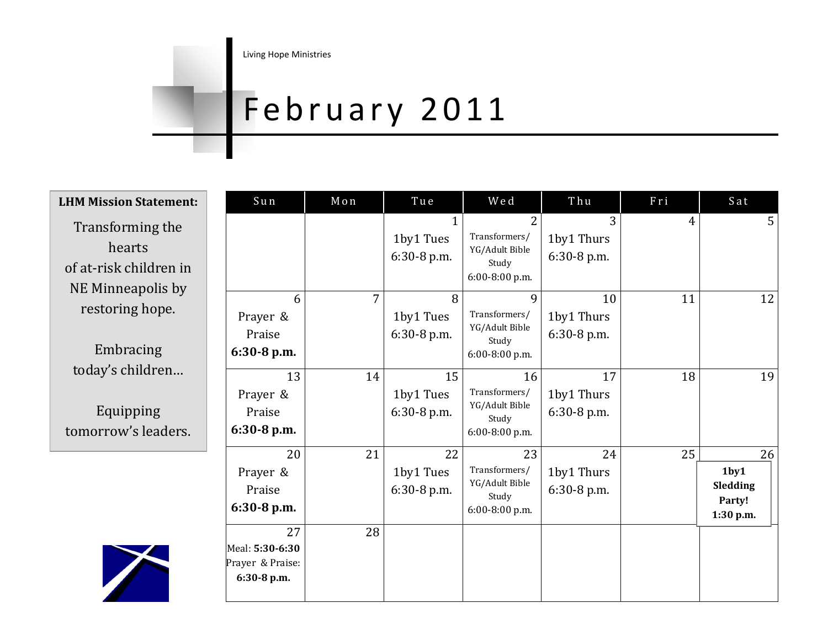# February 2011

| <b>LHM Mission Statement:</b>                                             | Sun                                                      | Mon | Tue                                      | Wed                                                              | Thu                             | Fri            | Sat                                                       |
|---------------------------------------------------------------------------|----------------------------------------------------------|-----|------------------------------------------|------------------------------------------------------------------|---------------------------------|----------------|-----------------------------------------------------------|
| Transforming the<br>hearts<br>of at-risk children in<br>NE Minneapolis by |                                                          |     | $\mathbf{1}$<br>1by1 Tues<br>6:30-8 p.m. | 2<br>Transformers/<br>YG/Adult Bible<br>Study<br>6:00-8:00 p.m.  | 3<br>1by1 Thurs<br>6:30-8 p.m.  | $\overline{4}$ | 5                                                         |
| restoring hope.<br>Embracing                                              | 6<br>Prayer &<br>Praise<br>6:30-8 p.m.                   | 7   | 8<br>1by1 Tues<br>6:30-8 p.m.            | 9<br>Transformers/<br>YG/Adult Bible<br>Study<br>6:00-8:00 p.m.  | 10<br>1by1 Thurs<br>6:30-8 p.m. | 11             | 12                                                        |
| today's children<br>Equipping<br>tomorrow's leaders.                      | 13<br>Prayer &<br>Praise<br>$6:30-8$ p.m.                | 14  | 15<br>1by1 Tues<br>6:30-8 p.m.           | 16<br>Transformers/<br>YG/Adult Bible<br>Study<br>6:00-8:00 p.m. | 17<br>1by1 Thurs<br>6:30-8 p.m. | 18             | 19                                                        |
|                                                                           | 20<br>Prayer &<br>Praise<br>$6:30-8$ p.m.                | 21  | 22<br>1by1 Tues<br>6:30-8 p.m.           | 23<br>Transformers/<br>YG/Adult Bible<br>Study<br>6:00-8:00 p.m. | 24<br>1by1 Thurs<br>6:30-8 p.m. | 25             | 26<br>1 <sub>by1</sub><br>Sledding<br>Party!<br>1:30 p.m. |
|                                                                           | 27<br>Meal: 5:30-6:30<br>Prayer & Praise:<br>6:30-8 p.m. | 28  |                                          |                                                                  |                                 |                |                                                           |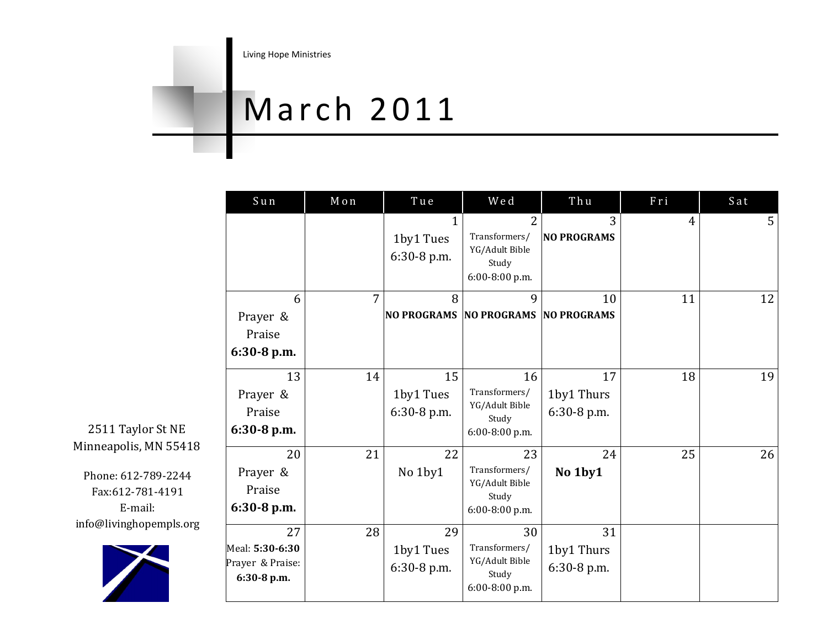## March 2011

| Sun                                                      | Mon            | Tue                                     | Wed                                                                          | Thu                               | Fri            | Sat |
|----------------------------------------------------------|----------------|-----------------------------------------|------------------------------------------------------------------------------|-----------------------------------|----------------|-----|
|                                                          |                | $\mathbf 1$<br>1by1 Tues<br>6:30-8 p.m. | $\overline{2}$<br>Transformers/<br>YG/Adult Bible<br>Study<br>6:00-8:00 p.m. | 3<br><b>NO PROGRAMS</b>           | $\overline{4}$ | 5   |
| 6<br>Prayer &<br>Praise<br>6:30-8 p.m.                   | $\overline{7}$ | 8<br><b>NO PROGRAMS</b>                 | 9<br><b>NO PROGRAMS NO PROGRAMS</b>                                          | 10                                | 11             | 12  |
| 13<br>Prayer &<br>Praise<br>6:30-8 p.m.                  | 14             | 15<br>1by1 Tues<br>6:30-8 p.m.          | 16<br>Transformers/<br>YG/Adult Bible<br>Study<br>$6:00-8:00$ p.m.           | 17<br>1by1 Thurs<br>6:30-8 p.m.   | 18             | 19  |
| 20<br>Prayer &<br>Praise<br>6:30-8 p.m.                  | 21             | 22<br>No 1by1                           | 23<br>Transformers/<br>YG/Adult Bible<br>Study<br>6:00-8:00 p.m.             | 24<br>No 1by1                     | 25             | 26  |
| 27<br>Meal: 5:30-6:30<br>Prayer & Praise:<br>6:30-8 p.m. | 28             | 29<br>1by1 Tues<br>6:30-8 p.m.          | 30<br>Transformers/<br>YG/Adult Bible<br>Study<br>6:00-8:00 p.m.             | 31<br>1by1 Thurs<br>$6:30-8$ p.m. |                |     |

2511 Taylor St NE Minneapolis, MN 55418

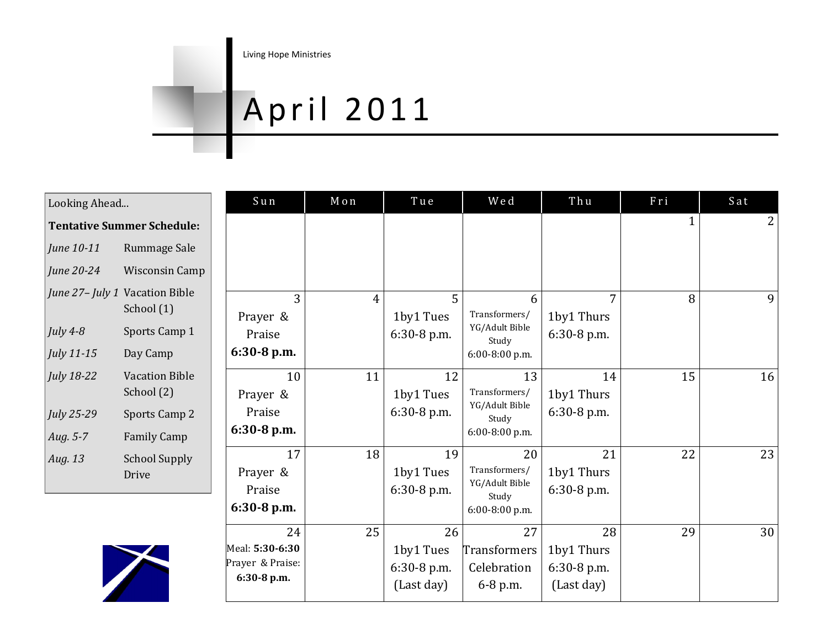#### April 2011

| Looking Ahead                  |                                     |  |  |  |  |
|--------------------------------|-------------------------------------|--|--|--|--|
|                                | <b>Tentative Summer Schedule:</b>   |  |  |  |  |
| June 10-11                     | Rummage Sale                        |  |  |  |  |
| June 20-24                     | <b>Wisconsin Camp</b>               |  |  |  |  |
| June 27- July 1 Vacation Bible | School (1)                          |  |  |  |  |
| July $4-8$                     | Sports Camp 1                       |  |  |  |  |
| July 11-15                     | Day Camp                            |  |  |  |  |
| July 18-22                     | <b>Vacation Bible</b><br>School (2) |  |  |  |  |
| July 25-29                     | <b>Sports Camp 2</b>                |  |  |  |  |
| Aug. 5-7                       | <b>Family Camp</b>                  |  |  |  |  |
| Aug. 13                        | School Supply<br>Drive              |  |  |  |  |



| Sun              | Mon            | Tue         | Wed                             | Thu         | Fri          | Sat            |
|------------------|----------------|-------------|---------------------------------|-------------|--------------|----------------|
|                  |                |             |                                 |             | $\mathbf{1}$ | $\overline{2}$ |
|                  |                |             |                                 |             |              |                |
|                  |                |             |                                 |             |              |                |
| 3                | $\overline{4}$ | 5           | 6                               | 7           | 8            | 9              |
| Prayer &         |                | 1by1 Tues   | Transformers/<br>YG/Adult Bible | 1by1 Thurs  |              |                |
| Praise           |                | 6:30-8 p.m. | Study                           | 6:30-8 p.m. |              |                |
| 6:30-8 p.m.      |                |             | 6:00-8:00 p.m.                  |             |              |                |
| 10               | 11             | 12          | 13                              | 14          | 15           | 16             |
| Prayer &         |                | 1by1 Tues   | Transformers/                   | 1by1 Thurs  |              |                |
| Praise           |                | 6:30-8 p.m. | YG/Adult Bible<br>Study         | 6:30-8 p.m. |              |                |
| 6:30-8 p.m.      |                |             | 6:00-8:00 p.m.                  |             |              |                |
| 17               | 18             | 19          | 20                              | 21          | 22           | 23             |
| Prayer &         |                | 1by1 Tues   | Transformers/                   | 1by1 Thurs  |              |                |
| Praise           |                | 6:30-8 p.m. | YG/Adult Bible<br>Study         | 6:30-8 p.m. |              |                |
| 6:30-8 p.m.      |                |             | 6:00-8:00 p.m.                  |             |              |                |
| 24               | 25             | 26          | 27                              | 28          | 29           | 30             |
| Meal: 5:30-6:30  |                | 1by1 Tues   | <b>Transformers</b>             | 1by1 Thurs  |              |                |
| Prayer & Praise: |                | 6:30-8 p.m. | Celebration                     | 6:30-8 p.m. |              |                |
| 6:30-8 p.m.      |                | (Last day)  | 6-8 p.m.                        | (Last day)  |              |                |